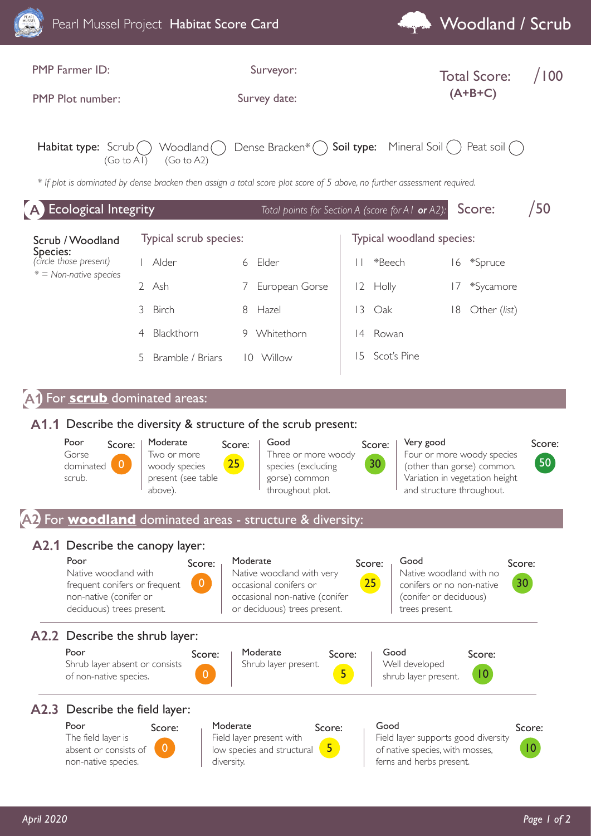